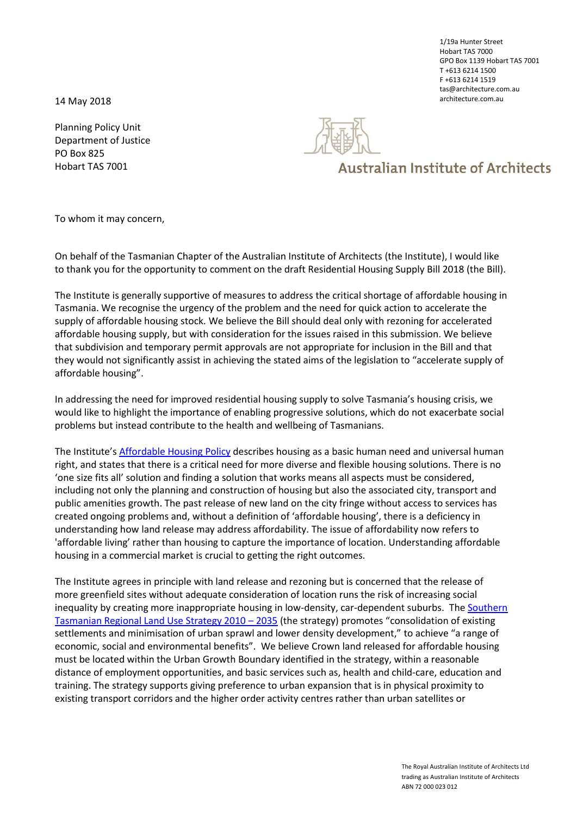architecture.com.au 14 May 2018

Planning Policy Unit Department of Justice PO Box 825 Hobart TAS 7001



## **Australian Institute of Architects**

To whom it may concern,

On behalf of the Tasmanian Chapter of the Australian Institute of Architects (the Institute), I would like to thank you for the opportunity to comment on the draft Residential Housing Supply Bill 2018 (the Bill).

The Institute is generally supportive of measures to address the critical shortage of affordable housing in Tasmania. We recognise the urgency of the problem and the need for quick action to accelerate the supply of affordable housing stock. We believe the Bill should deal only with rezoning for accelerated affordable housing supply, but with consideration for the issues raised in this submission. We believe that subdivision and temporary permit approvals are not appropriate for inclusion in the Bill and that they would not significantly assist in achieving the stated aims of the legislation to "accelerate supply of affordable housing".

In addressing the need for improved residential housing supply to solve Tasmania's housing crisis, we would like to highlight the importance of enabling progressive solutions, which do not exacerbate social problems but instead contribute to the health and wellbeing of Tasmanians.

The Institute's [Affordable Housing Policy](http://www.architecture.com.au/docs/default-source/national-policy/affordable-housing-policy-2017.pdf?sfvrsn=0) describes housing as a basic human need and universal human right, and states that there is a critical need for more diverse and flexible housing solutions. There is no 'one size fits all' solution and finding a solution that works means all aspects must be considered, including not only the planning and construction of housing but also the associated city, transport and public amenities growth. The past release of new land on the city fringe without access to services has created ongoing problems and, without a definition of 'affordable housing', there is a deficiency in understanding how land release may address affordability. The issue of affordability now refers to 'affordable living' rather than housing to capture the importance of location. Understanding affordable housing in a commercial market is crucial to getting the right outcomes.

The Institute agrees in principle with land release and rezoning but is concerned that the release of more greenfield sites without adequate consideration of location runs the risk of increasing social inequality by creating more inappropriate housing in low-density, car-dependent suburbs. The Southern [Tasmanian Regional Land Use Strategy 2010](http://stca.tas.gov.au/rpp/wp-content/uploads/2011/05/land_use_strategy_Gazettal-version.pdf) – 2035 (the strategy) promotes "consolidation of existing settlements and minimisation of urban sprawl and lower density development," to achieve "a range of economic, social and environmental benefits". We believe Crown land released for affordable housing must be located within the Urban Growth Boundary identified in the strategy, within a reasonable distance of employment opportunities, and basic services such as, health and child-care, education and training. The strategy supports giving preference to urban expansion that is in physical proximity to existing transport corridors and the higher order activity centres rather than urban satellites or

1/19a Hunter Street Hobart TAS 7000 GPO Box 1139 Hobart TAS 7001 T +613 6214 1500 F +613 6214 1519 tas@architecture.com.au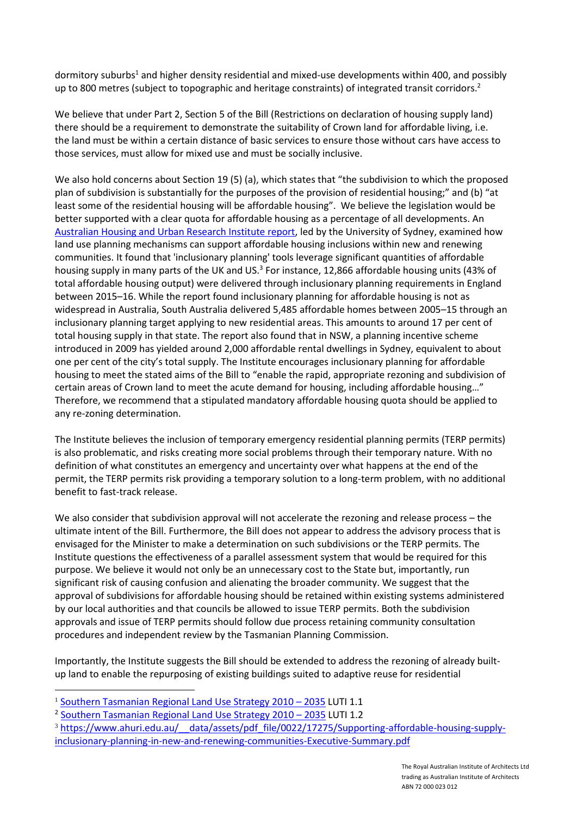dormitory suburbs<sup>1</sup> and higher density residential and mixed-use developments within 400, and possibly up to 800 metres (subject to topographic and heritage constraints) of integrated transit corridors.<sup>2</sup>

We believe that under Part 2, Section 5 of the Bill (Restrictions on declaration of housing supply land) there should be a requirement to demonstrate the suitability of Crown land for affordable living, i.e. the land must be within a certain distance of basic services to ensure those without cars have access to those services, must allow for mixed use and must be socially inclusive.

We also hold concerns about Section 19 (5) (a), which states that "the subdivision to which the proposed plan of subdivision is substantially for the purposes of the provision of residential housing;" and (b) "at least some of the residential housing will be affordable housing". We believe the legislation would be better supported with a clear quota for affordable housing as a percentage of all developments. An [Australian Housing and Urban Research Institute report,](https://www.ahuri.edu.au/research/final-reports/297) led by the University of Sydney, examined how land use planning mechanisms can support affordable housing inclusions within new and renewing communities. It found that 'inclusionary planning' tools leverage significant quantities of affordable housing supply in many parts of the UK and US.<sup>3</sup> For instance, 12,866 affordable housing units (43% of total affordable housing output) were delivered through inclusionary planning requirements in England between 2015–16. While the report found inclusionary planning for affordable housing is not as widespread in Australia, South Australia delivered 5,485 affordable homes between 2005–15 through an inclusionary planning target applying to new residential areas. This amounts to around 17 per cent of total housing supply in that state. The report also found that in NSW, a planning incentive scheme introduced in 2009 has yielded around 2,000 affordable rental dwellings in Sydney, equivalent to about one per cent of the city's total supply. The Institute encourages inclusionary planning for affordable housing to meet the stated aims of the Bill to "enable the rapid, appropriate rezoning and subdivision of certain areas of Crown land to meet the acute demand for housing, including affordable housing…" Therefore, we recommend that a stipulated mandatory affordable housing quota should be applied to any re-zoning determination.

The Institute believes the inclusion of temporary emergency residential planning permits (TERP permits) is also problematic, and risks creating more social problems through their temporary nature. With no definition of what constitutes an emergency and uncertainty over what happens at the end of the permit, the TERP permits risk providing a temporary solution to a long-term problem, with no additional benefit to fast-track release.

We also consider that subdivision approval will not accelerate the rezoning and release process – the ultimate intent of the Bill. Furthermore, the Bill does not appear to address the advisory process that is envisaged for the Minister to make a determination on such subdivisions or the TERP permits. The Institute questions the effectiveness of a parallel assessment system that would be required for this purpose. We believe it would not only be an unnecessary cost to the State but, importantly, run significant risk of causing confusion and alienating the broader community. We suggest that the approval of subdivisions for affordable housing should be retained within existing systems administered by our local authorities and that councils be allowed to issue TERP permits. Both the subdivision approvals and issue of TERP permits should follow due process retaining community consultation procedures and independent review by the Tasmanian Planning Commission.

Importantly, the Institute suggests the Bill should be extended to address the rezoning of already builtup land to enable the repurposing of existing buildings suited to adaptive reuse for residential

<u>.</u>

<sup>&</sup>lt;sup>1</sup> [Southern Tasmanian Regional Land Use Strategy 2010](http://stca.tas.gov.au/rpp/wp-content/uploads/2011/05/land_use_strategy_Gazettal-version.pdf) - 2035 LUTI 1.1

<sup>&</sup>lt;sup>2</sup> [Southern Tasmanian Regional Land Use Strategy 2010](http://stca.tas.gov.au/rpp/wp-content/uploads/2011/05/land_use_strategy_Gazettal-version.pdf) - 2035 LUTI 1.2

<sup>&</sup>lt;sup>3</sup> https://www.ahuri.edu.au/ data/assets/pdf file/0022/17275/Supporting-affordable-housing-supply[inclusionary-planning-in-new-and-renewing-communities-Executive-Summary.pdf](https://www.ahuri.edu.au/__data/assets/pdf_file/0022/17275/Supporting-affordable-housing-supply-inclusionary-planning-in-new-and-renewing-communities-Executive-Summary.pdf)